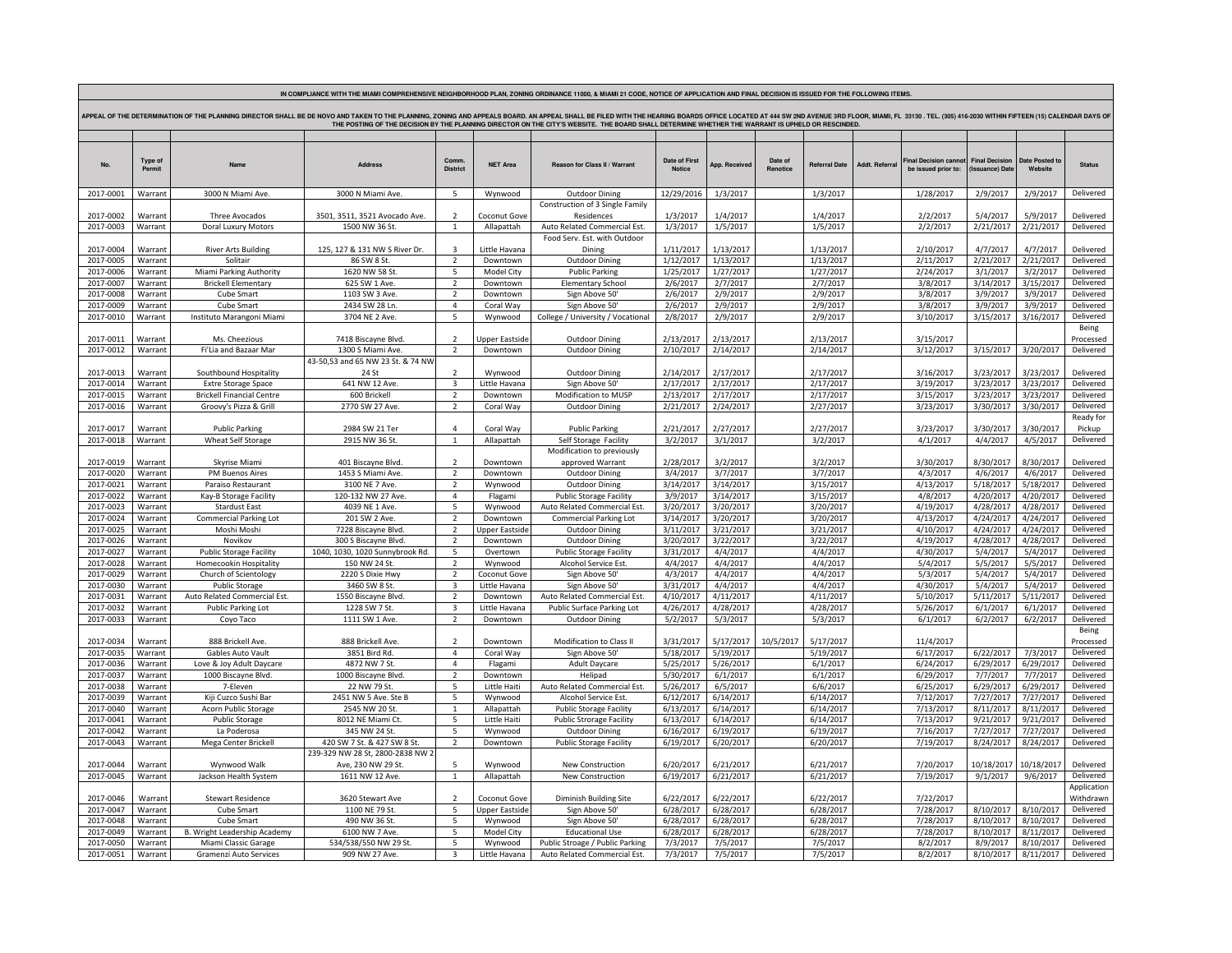| IN COMPLIANCE WITH THE MIAMI COMPREHENSIVE NEIGHBORHOOD PLAN, ZONING ORDINANCE 11000, & MIAMI 21 CODE, NOTICE OF APPLICATION AND FINAL DECISION IS ISSUED FOR THE FOLLOWING ITEMS                                                                                                                                                                                                   |                    |                                      |                                    |                            |                         |                                                   |                        |                        |                     |                        |                       |                                            |                                          |                           |                        |  |  |
|-------------------------------------------------------------------------------------------------------------------------------------------------------------------------------------------------------------------------------------------------------------------------------------------------------------------------------------------------------------------------------------|--------------------|--------------------------------------|------------------------------------|----------------------------|-------------------------|---------------------------------------------------|------------------------|------------------------|---------------------|------------------------|-----------------------|--------------------------------------------|------------------------------------------|---------------------------|------------------------|--|--|
|                                                                                                                                                                                                                                                                                                                                                                                     |                    |                                      |                                    |                            |                         |                                                   |                        |                        |                     |                        |                       |                                            |                                          |                           |                        |  |  |
| APPEAL OF THE DETERMINATION OF THE PLANNING DIRECTOR SHALL BE DE NOVO AND TAKEN TO THE PLANNING, ZONING AND APPEALS BOARD. AN APPEAL SHALL BE FILED WITH THE HEARING BOARDS OFFICE LOCATED AT 444 SW 2ND AVENUE 3RD FLOOR, MIA<br>THE POSTING OF THE DECISION BY THE PLANNING DIRECTOR ON THE CITY'S WEBSITE. THE BOARD SHALL DETERMINE WHETHER THE WARRANT IS UPHELD OR RESCINDED. |                    |                                      |                                    |                            |                         |                                                   |                        |                        |                     |                        |                       |                                            |                                          |                           |                        |  |  |
|                                                                                                                                                                                                                                                                                                                                                                                     |                    |                                      |                                    |                            |                         |                                                   |                        |                        |                     |                        |                       |                                            |                                          |                           |                        |  |  |
|                                                                                                                                                                                                                                                                                                                                                                                     |                    |                                      |                                    |                            |                         |                                                   |                        |                        |                     |                        |                       |                                            |                                          |                           |                        |  |  |
|                                                                                                                                                                                                                                                                                                                                                                                     |                    |                                      |                                    |                            |                         |                                                   |                        |                        |                     |                        |                       |                                            |                                          |                           |                        |  |  |
| No.                                                                                                                                                                                                                                                                                                                                                                                 | Type of<br>Permit  | Name                                 | <b>Address</b>                     | Comm<br><b>District</b>    | <b>NET Area</b>         | <b>Beason for Class II / Warrant</b>              | Date of First          | Ann, Received          | Date of<br>Renotice | <b>Referral Date</b>   | <b>Addt. Referral</b> | inal Decision canno<br>be issued prior to: | <b>Final Decision</b><br>(Issuance) Date | Date Posted to<br>Website | <b>Status</b>          |  |  |
|                                                                                                                                                                                                                                                                                                                                                                                     |                    |                                      |                                    |                            |                         |                                                   |                        |                        |                     |                        |                       |                                            |                                          |                           |                        |  |  |
|                                                                                                                                                                                                                                                                                                                                                                                     |                    |                                      |                                    |                            |                         |                                                   |                        |                        |                     |                        |                       |                                            |                                          |                           |                        |  |  |
| 2017-0001                                                                                                                                                                                                                                                                                                                                                                           | Warrant            | 3000 N Miami Ave.                    | 3000 N Miami Ave.                  | 5                          | Wynwood                 | <b>Outdoor Dining</b>                             | 12/29/2016             | 1/3/2017               |                     | 1/3/2017               |                       | 1/28/2017                                  | 2/9/2017                                 | 2/9/2017                  | Delivered              |  |  |
|                                                                                                                                                                                                                                                                                                                                                                                     |                    |                                      |                                    |                            |                         | Construction of 3 Single Family                   |                        |                        |                     |                        |                       |                                            |                                          |                           |                        |  |  |
| 2017-0002                                                                                                                                                                                                                                                                                                                                                                           | Warran             | Three Avocados                       | 3501, 3511, 3521 Avocado Ave.      | $\overline{2}$             | Coconut Gove            | Residences                                        | 1/3/2017               | 1/4/2017               |                     | 1/4/2017               |                       | 2/2/2017                                   | 5/4/2017                                 | 5/9/2017                  | Delivered              |  |  |
| 2017-0003                                                                                                                                                                                                                                                                                                                                                                           | Warrant            | Doral Luxury Motors                  | 1500 NW 36 St.                     | $\mathbf{1}$               | Allapattah              | Auto Related Commercial Est.                      | 1/3/2017               | 1/5/2017               |                     | 1/5/2017               |                       | 2/2/2017                                   | 2/21/2017                                | 2/21/2017                 | Delivered              |  |  |
|                                                                                                                                                                                                                                                                                                                                                                                     |                    |                                      |                                    |                            |                         | Food Serv. Est. with Outdoor                      |                        |                        |                     |                        |                       |                                            |                                          |                           |                        |  |  |
| 2017-0004                                                                                                                                                                                                                                                                                                                                                                           | Warrant            | <b>River Arts Building</b>           | 125, 127 & 131 NW S River Dr.      | $\overline{\mathbf{a}}$    | Little Havana           | Dining                                            | 1/11/2017              | 1/13/2017              |                     | 1/13/2017              |                       | 2/10/2017                                  | 4/7/2017                                 | 4/7/2017                  | Delivered              |  |  |
| 2017-0005                                                                                                                                                                                                                                                                                                                                                                           | Warrant            | Solitair                             | 86 SW 8 St.                        | $\overline{2}$             | Downtown                | <b>Outdoor Dining</b>                             | 1/12/2017              | 1/13/2017              |                     | 1/13/2017              |                       | 2/11/2017                                  | 2/21/2017                                | 2/21/2017                 | Delivered              |  |  |
| 2017-0006                                                                                                                                                                                                                                                                                                                                                                           | Warrant            | Miami Parking Authority              | 1620 NW 58 St                      | -5<br>$\overline{2}$       | Model City              | <b>Public Parking</b>                             | 1/25/2017              | 1/27/2017              |                     | 1/27/2017              |                       | 2/24/2017                                  | 3/1/2017                                 | 3/2/2017                  | Delivered              |  |  |
| 2017-0007                                                                                                                                                                                                                                                                                                                                                                           | Warrant            | <b>Brickell Elementary</b>           | 625 SW 1 Ave.                      |                            | Downtown                | <b>Elementary School</b>                          | 2/6/2017               | 2/7/2017               |                     | 2/7/2017               |                       | 3/8/2017                                   | 3/14/2017                                | 3/15/2017                 | Delivered              |  |  |
| 2017-0008                                                                                                                                                                                                                                                                                                                                                                           | Warrant            | Cube Smart                           | 1103 SW 3 Ave.                     | $\overline{2}$<br>$\Delta$ | Downtown                | Sign Above 50'                                    | 2/6/2017               | 2/9/2017               |                     | 2/9/2017               |                       | 3/8/2017                                   | 3/9/2017                                 | 3/9/2017                  | Delivered              |  |  |
| 2017-0009                                                                                                                                                                                                                                                                                                                                                                           | Warrant            | Cube Smart                           | 2434 SW 28 Ln.                     |                            | Coral Way               | Sign Above 50'                                    | 2/6/2017               | 2/9/2017               |                     | 2/9/2017               |                       | 3/8/2017                                   | 3/9/2017                                 | 3/9/2017                  | Delivered              |  |  |
| 2017-0010                                                                                                                                                                                                                                                                                                                                                                           | Warrant            | Instituto Marangoni Miami            | 3704 NE 2 Ave.                     | 5                          | Wynwood                 | College / University / Vocational                 | 2/8/2017               | 2/9/2017               |                     | 2/9/2017               |                       | 3/10/2017                                  | 3/15/2017                                | 3/16/2017                 | Delivered<br>Being     |  |  |
| 2017-0011                                                                                                                                                                                                                                                                                                                                                                           | Warrant            | Ms. Cheezious                        | 7418 Biscayne Blvd.                | $\overline{2}$             | <b>Ipper Eastside</b>   | <b>Outdoor Dining</b>                             | 2/13/2017              | 2/13/2017              |                     | 2/13/2017              |                       | 3/15/2017                                  |                                          |                           | Processed              |  |  |
| 2017-0012                                                                                                                                                                                                                                                                                                                                                                           | Warrant            | Fi'Lia and Bazaar Mar                | 1300 S Miami Ave.                  | $\overline{2}$             | Downtown                |                                                   | 2/10/2017              | 2/14/2017              |                     | 2/14/2017              |                       | 3/12/2017                                  | 3/15/2017                                | 3/20/2017                 | Delivered              |  |  |
|                                                                                                                                                                                                                                                                                                                                                                                     |                    |                                      | 43-50,53 and 65 NW 23 St. & 74 NW  |                            |                         | <b>Outdoor Dining</b>                             |                        |                        |                     |                        |                       |                                            |                                          |                           |                        |  |  |
| 2017-0013                                                                                                                                                                                                                                                                                                                                                                           | Warrant            | Southbound Hospitality               | 24 St                              | $\overline{2}$             | Wynwood                 | <b>Outdoor Dining</b>                             | 2/14/2017              | 2/17/2017              |                     | 2/17/2017              |                       | 3/16/2017                                  | 3/23/2017                                | 3/23/2017                 | Delivered              |  |  |
| 2017-0014                                                                                                                                                                                                                                                                                                                                                                           | Warrant            | Extre Storage Space                  | 641 NW 12 Ave.                     | $\overline{3}$             | Little Havana           | Sign Above 50'                                    | 2/17/2017              | 2/17/2017              |                     | 2/17/2017              |                       | 3/19/2017                                  | 3/23/2017                                | 3/23/2017                 | Delivered              |  |  |
| 2017-0015                                                                                                                                                                                                                                                                                                                                                                           | Warrant            | <b>Brickell Financial Centre</b>     | 600 Brickell                       | $\overline{2}$             | Downtown                | Modification to MUSP                              | 2/13/2017              | 2/17/2017              |                     | 2/17/2017              |                       | 3/15/2017                                  | 3/23/2017                                | 3/23/2017                 | Delivered              |  |  |
| 2017-0016                                                                                                                                                                                                                                                                                                                                                                           | Warrant            | Groovy's Pizza & Grill               | 2770 SW 27 Ave                     | $\overline{2}$             | Coral Way               | <b>Outdoor Dining</b>                             | 2/21/2017              | 2/24/2017              |                     | 2/27/2017              |                       | 3/23/2017                                  | 3/30/2017                                | 3/30/2017                 | Delivered              |  |  |
|                                                                                                                                                                                                                                                                                                                                                                                     |                    |                                      |                                    |                            |                         |                                                   |                        |                        |                     |                        |                       |                                            |                                          |                           | Ready for              |  |  |
| 2017-0017                                                                                                                                                                                                                                                                                                                                                                           | Warran             | <b>Public Parking</b>                | 2984 SW 21 Ter                     | 4                          | Coral Way               | <b>Public Parking</b>                             | 2/21/2017              | 2/27/2017              |                     | 2/27/2017              |                       | 3/23/2017                                  | 3/30/2017                                | 3/30/2017                 | Pickup                 |  |  |
| 2017-0018                                                                                                                                                                                                                                                                                                                                                                           | Warrant            | <b>Wheat Self Storage</b>            | 2915 NW 36 St.                     | $\mathbf{1}$               | Allapattah              | Self Storage Facility                             | 3/2/2017               | 3/1/2017               |                     | 3/2/2017               |                       | 4/1/2017                                   | 4/4/2017                                 | 4/5/2017                  | Delivered              |  |  |
|                                                                                                                                                                                                                                                                                                                                                                                     |                    |                                      |                                    |                            |                         | Modification to previously                        |                        |                        |                     |                        |                       |                                            |                                          |                           |                        |  |  |
| 2017-0019                                                                                                                                                                                                                                                                                                                                                                           | Warrant            | Skyrise Miami                        | 401 Biscayne Blvd.                 | $\overline{z}$             | Downtown                | approved Warrant                                  | 2/28/2017              | 3/2/2017               |                     | 3/2/2017               |                       | 3/30/2017                                  | 8/30/2017                                | 8/30/2017                 | Delivered              |  |  |
| 2017-0020                                                                                                                                                                                                                                                                                                                                                                           | Warrant            | PM Buenos Aires                      | 1453 S Miami Ave.                  | $\overline{2}$             | Downtown                | <b>Outdoor Dining</b>                             | 3/4/2017               | 3/7/2017               |                     | 3/7/2017               |                       | 4/3/2017                                   | 4/6/2017                                 | 4/6/2017                  | Delivered              |  |  |
| 2017-0021                                                                                                                                                                                                                                                                                                                                                                           | Warrant            | Paraiso Restaurant                   | 3100 NE 7 Ave.                     | $\overline{2}$             | Wynwood                 | <b>Outdoor Dining</b>                             | 3/14/2017              | 3/14/2017              |                     | 3/15/2017              |                       | 4/13/2017                                  | 5/18/2017                                | 5/18/2017                 | Delivered              |  |  |
| 2017-0022                                                                                                                                                                                                                                                                                                                                                                           | Warrant            | Kay-B Storage Facility               | 120-132 NW 27 Ave.                 | $\overline{4}$             | Flagami                 | <b>Public Storage Facility</b>                    | 3/9/2017               | 3/14/2017              |                     | 3/15/2017              |                       | 4/8/2017                                   | 4/20/2017                                | 4/20/2017                 | Delivered              |  |  |
| 2017-0023                                                                                                                                                                                                                                                                                                                                                                           | Warrant            | <b>Stardust East</b>                 | 4039 NE 1 Ave.                     | 5                          | Wynwood                 | Auto Related Commercial Est.                      | 3/20/2017              | 3/20/2017              |                     | 3/20/2017              |                       | 4/19/2017                                  | 4/28/2017                                | 4/28/2017                 | Delivered              |  |  |
| 2017-0024                                                                                                                                                                                                                                                                                                                                                                           | Warrant            | <b>Commercial Parking Lot</b>        | 201 SW 2 Ave.                      | $\overline{2}$             | Downtown                | Commercial Parking Lot                            | 3/14/2017              | 3/20/2017              |                     | 3/20/2017              |                       | 4/13/2017                                  | 4/24/2017                                | 4/24/2017                 | Delivered              |  |  |
| 2017-0025                                                                                                                                                                                                                                                                                                                                                                           | Warrant            | Moshi Moshi                          | 7228 Biscayne Blvd.                | $\overline{2}$             | Jpper Eastsid           | <b>Outdoor Dining</b>                             | 3/11/2017              | 3/21/2017              |                     | 3/21/2017              |                       | 4/10/2017                                  | 4/24/2017                                | 4/24/2017                 | Delivered              |  |  |
| 2017-0026                                                                                                                                                                                                                                                                                                                                                                           | Warrant            | Novikov                              | 300 S Biscayne Blvd.               | $\overline{2}$             | Downtown                | <b>Outdoor Dining</b>                             | 3/20/2017              | 3/22/2017              |                     | 3/22/2017              |                       | 4/19/2017                                  | 4/28/2017                                | 4/28/2017                 | Delivered              |  |  |
| 2017-0027                                                                                                                                                                                                                                                                                                                                                                           | Warrant            | <b>Public Storage Facility</b>       | 1040, 1030, 1020 Sunnybrook Rd.    | 5                          | Overtown                | <b>Public Storage Facility</b>                    | 3/31/2017              | 4/4/2017               |                     | 4/4/2017               |                       | 4/30/2017                                  | 5/4/2017                                 | 5/4/2017                  | Delivered              |  |  |
| 2017-0028                                                                                                                                                                                                                                                                                                                                                                           | Warran             | Homecookin Hospitality               | 150 NW 24 St.                      | $\overline{2}$             | Wynwood                 | Alcohol Service Est.                              | 4/4/2017               | 4/4/2017               |                     | 4/4/2017               |                       | 5/4/2017                                   | 5/5/2017                                 | 5/5/2017                  | Delivered              |  |  |
| 2017-0029                                                                                                                                                                                                                                                                                                                                                                           | Warrant            | Church of Scientology                | 2220 S Dixie Hwy                   | $\overline{2}$             | Coconut Gove            | Sign Above 50'                                    | 4/3/2017               | 4/4/2017               |                     | 4/4/2017               |                       | 5/3/2017                                   | 5/4/2017                                 | 5/4/2017                  | Delivered              |  |  |
| 2017-0030                                                                                                                                                                                                                                                                                                                                                                           | Warrant            | Public Storage                       | 3460 SW 8 St.                      | $\overline{3}$             | Little Havana           | Sign Above 50'                                    | 3/31/2017              | 4/4/2017               |                     | 4/4/2017               |                       | 4/30/2017                                  | 5/4/2017                                 | 5/4/2017                  | Delivered              |  |  |
| 2017-0031                                                                                                                                                                                                                                                                                                                                                                           | Warrant            | Auto Related Commercial Est.         | 1550 Biscayne Blvd                 | $\overline{2}$             | Downtown                | Auto Related Commercial Est                       | 4/10/2017              | 4/11/2017              |                     | 4/11/2017              |                       | 5/10/2017                                  | 5/11/2017                                | 5/11/2017                 | Delivered              |  |  |
| 2017-0032                                                                                                                                                                                                                                                                                                                                                                           | Warrant            | <b>Public Parking Lot</b>            | 1228 SW 7 St.                      | $\overline{3}$             | Little Havana           | Public Surface Parking Lot                        | 4/26/2017              | 4/28/2017              |                     | 4/28/2017              |                       | 5/26/2017                                  | 6/1/2017                                 | 6/1/2017                  | Delivered              |  |  |
| 2017-0033                                                                                                                                                                                                                                                                                                                                                                           | Warrant            | Coyo Taco                            | 1111 SW 1 Ave.                     | $\overline{2}$             | Downtown                | <b>Outdoor Dining</b>                             | 5/2/2017               | 5/3/2017               |                     | 5/3/2017               |                       | 6/1/2017                                   | 6/2/2017                                 | 6/2/2017                  | Delivered              |  |  |
|                                                                                                                                                                                                                                                                                                                                                                                     |                    |                                      |                                    |                            |                         |                                                   |                        |                        |                     |                        |                       |                                            |                                          |                           | Being                  |  |  |
| 2017-0034                                                                                                                                                                                                                                                                                                                                                                           | Warran             | 888 Brickell Ave.                    | 888 Brickell Ave.                  | $\overline{2}$             | Downtown                | Modification to Class II                          | 3/31/2017              | 5/17/2017              | 10/5/2017           | 5/17/2017              |                       | 11/4/2017                                  |                                          |                           | Processed              |  |  |
| 2017-0035                                                                                                                                                                                                                                                                                                                                                                           | Warrant            | Gables Auto Vault                    | 3851 Bird Rd.                      | $\overline{4}$             | Coral Way               | Sign Above 50'                                    | 5/18/2017              | 5/19/2017              |                     | 5/19/2017              |                       | 6/17/2017                                  | 6/22/2017                                | 7/3/2017                  | Delivered              |  |  |
| 2017-0036                                                                                                                                                                                                                                                                                                                                                                           | Warrant            | Love & Joy Adult Daycare             | 4872 NW 7 St.                      | $\overline{4}$             | Flagami                 | Adult Daycare                                     | 5/25/2017              | 5/26/2017              |                     | 6/1/2017               |                       | 6/24/2017                                  | 6/29/2017                                | 6/29/2017                 | Delivered              |  |  |
| 2017-0037                                                                                                                                                                                                                                                                                                                                                                           | Warrant            | 1000 Biscayne Blvd.                  | 1000 Biscayne Blvd.                | $\overline{2}$             | Downtown                | Helipad                                           | 5/30/2017              | 6/1/2017               |                     | 6/1/2017               |                       | 6/29/2017                                  | 7/7/2017                                 | 7/7/2017                  | Delivered              |  |  |
| 2017-0038                                                                                                                                                                                                                                                                                                                                                                           | Warrant            | 7-Eleven                             | 22 NW 79 St.                       | 5                          | Little Haiti            | Auto Related Commercial Est.                      | 5/26/2017              | 6/5/2017               |                     | 6/6/2017               |                       | 6/25/2017                                  | 6/29/2017                                | 6/29/2017                 | Delivered              |  |  |
| 2017-0039                                                                                                                                                                                                                                                                                                                                                                           | Warrant            | Kiji Cuzco Sushi Bar                 | 2451 NW 5 Ave. Ste B               | 5                          | Wynwood                 | Alcohol Service Est                               | 6/12/2017              | 6/14/2017              |                     | 6/14/2017              |                       | 7/12/2017                                  | 7/27/2017                                | 7/27/2017                 | Delivered              |  |  |
| 2017-0040                                                                                                                                                                                                                                                                                                                                                                           | Warrant            | Acorn Public Storage                 | 2545 NW 20 St.                     | 1                          | Allapattah              | <b>Public Storage Facility</b>                    | 6/13/2017              | 6/14/2017              |                     | 6/14/2017              |                       | 7/13/2017                                  | 8/11/2017                                | 8/11/2017                 | Delivered              |  |  |
| 2017-0041<br>2017-0042                                                                                                                                                                                                                                                                                                                                                              | Warrant<br>Warrant | <b>Public Storage</b><br>La Poderosa | 8012 NE Miami Ct.<br>345 NW 24 St. | -5<br>-5                   | Little Haiti<br>Wynwood | <b>Public Strorage Facility</b><br>Outdoor Dining | 6/13/2017<br>6/16/2017 | 6/14/2017<br>6/19/2017 |                     | 6/14/2017<br>6/19/2017 |                       | 7/13/2017<br>7/16/2017                     | 9/21/2017<br>7/27/2017                   | 9/21/2017<br>7/27/2017    | Delivered<br>Delivered |  |  |
| 2017-0043                                                                                                                                                                                                                                                                                                                                                                           | Warrant            | Mega Center Brickell                 | 420 SW 7 St. & 427 SW 8 St.        | $\overline{2}$             | Downtown                | <b>Public Storage Facility</b>                    | 6/19/2017              | 6/20/2017              |                     | 6/20/2017              |                       | 7/19/2017                                  | 8/24/2017                                | 8/24/2017                 | Delivered              |  |  |
|                                                                                                                                                                                                                                                                                                                                                                                     |                    |                                      | 239-329 NW 28 St, 2800-2838 NW 2   |                            |                         |                                                   |                        |                        |                     |                        |                       |                                            |                                          |                           |                        |  |  |
| 2017-0044                                                                                                                                                                                                                                                                                                                                                                           | Warrant            | Wynwood Walk                         | Ave, 230 NW 29 St.                 | 5                          | Wynwood                 | New Construction                                  | 6/20/2017              | 6/21/2017              |                     | 6/21/2017              |                       | 7/20/2017                                  | 10/18/201                                | 10/18/2017                | Delivered              |  |  |
| 2017-0045                                                                                                                                                                                                                                                                                                                                                                           | Warrant            | Jackson Health System                | 1611 NW 12 Ave.                    | $\mathbf{1}$               | Allapattah              | New Construction                                  | 6/19/2017              | 6/21/2017              |                     | 6/21/2017              |                       | 7/19/2017                                  | 9/1/2017                                 | 9/6/2017                  | Delivered              |  |  |
|                                                                                                                                                                                                                                                                                                                                                                                     |                    |                                      |                                    |                            |                         |                                                   |                        |                        |                     |                        |                       |                                            |                                          |                           | Application            |  |  |
| 2017-0046                                                                                                                                                                                                                                                                                                                                                                           | Warrant            | <b>Stewart Residence</b>             | 3620 Stewart Ave                   | $\overline{2}$             | Coconut Gove            | Diminish Building Site                            | 6/22/2017              | 6/22/2017              |                     | 6/22/2017              |                       | 7/22/2017                                  |                                          |                           | Withdrawn              |  |  |
| 2017-0047                                                                                                                                                                                                                                                                                                                                                                           | Warrant            | Cube Smart                           | 1100 NE 79 St.                     | $\overline{\phantom{a}}$   | <b>Jpper Eastside</b>   | Sign Above 50'                                    | 6/28/2017              | 6/28/2017              |                     | 6/28/2017              |                       | 7/28/2017                                  | 8/10/2017                                | 8/10/2017                 | Delivered              |  |  |
| 2017-0048                                                                                                                                                                                                                                                                                                                                                                           | Warrant            | Cube Smart                           | 490 NW 36 St.                      | 5                          | Wynwood                 | Sign Above 50'                                    | 6/28/2017              | 6/28/2017              |                     | 6/28/2017              |                       | 7/28/2017                                  | 8/10/2017                                | 8/10/2017                 | Delivered              |  |  |
| 2017-0049                                                                                                                                                                                                                                                                                                                                                                           | Warrant            | B. Wright Leadership Academy         | 6100 NW 7 Ave.                     | 5                          | Model City              | <b>Educational Use</b>                            | 6/28/2017              | 6/28/2017              |                     | 6/28/2017              |                       | 7/28/2017                                  | 8/10/2017                                | 8/11/2017                 | Delivered              |  |  |
| 2017-0050                                                                                                                                                                                                                                                                                                                                                                           | Warrant            | Miami Classic Garage                 | 534/538/550 NW 29 St               | 5                          | Wynwood                 | Public Stroage / Public Parking                   | 7/3/2017               | 7/5/2017               |                     | 7/5/2017               |                       | 8/2/2017                                   | 8/9/2017                                 | 8/10/2017                 | Delivered              |  |  |
| 2017-0051                                                                                                                                                                                                                                                                                                                                                                           | Warrant            | Gramenzi Auto Services               | 909 NW 27 Ave.                     | $\overline{\mathbf{3}}$    | Little Havana           | Auto Related Commercial Est.                      | 7/3/2017               | 7/5/2017               |                     | 7/5/2017               |                       | 8/2/2017                                   | 8/10/2017                                | 8/11/2017                 | Delivered              |  |  |